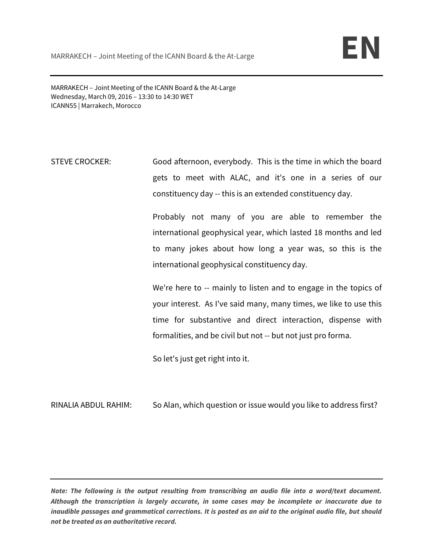MARRAKECH – Joint Meeting of the ICANN Board & the At-Large Wednesday, March 09, 2016 – 13:30 to 14:30 WET ICANN55 | Marrakech, Morocco

STEVE CROCKER: Good afternoon, everybody. This is the time in which the board gets to meet with ALAC, and it's one in a series of our constituency day -- this is an extended constituency day.

> Probably not many of you are able to remember the international geophysical year, which lasted 18 months and led to many jokes about how long a year was, so this is the international geophysical constituency day.

> We're here to -- mainly to listen and to engage in the topics of your interest. As I've said many, many times, we like to use this time for substantive and direct interaction, dispense with formalities, and be civil but not -- but not just pro forma.

So let's just get right into it.

RINALIA ABDUL RAHIM: So Alan, which question or issue would you like to address first?

**Note: The following is the output resulting from transcribing an audio file into a word/text document. Although the transcription is largely accurate, in some cases may be incomplete or inaccurate due to inaudible passages and grammatical corrections. It is posted as an aid to the original audio file, but should not be treated as an authoritative record.**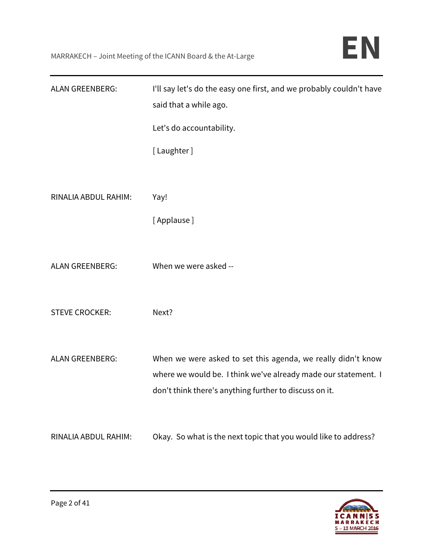| <b>ALAN GREENBERG:</b> | I'll say let's do the easy one first, and we probably couldn't have<br>said that a while ago.                                                                                            |
|------------------------|------------------------------------------------------------------------------------------------------------------------------------------------------------------------------------------|
|                        | Let's do accountability.<br>[Laughter]                                                                                                                                                   |
|                        |                                                                                                                                                                                          |
| RINALIA ABDUL RAHIM:   | Yay!                                                                                                                                                                                     |
|                        | [Applause]                                                                                                                                                                               |
| <b>ALAN GREENBERG:</b> | When we were asked --                                                                                                                                                                    |
| <b>STEVE CROCKER:</b>  | Next?                                                                                                                                                                                    |
| <b>ALAN GREENBERG:</b> | When we were asked to set this agenda, we really didn't know<br>where we would be. I think we've already made our statement. I<br>don't think there's anything further to discuss on it. |
| RINALIA ABDUL RAHIM:   | Okay. So what is the next topic that you would like to address?                                                                                                                          |

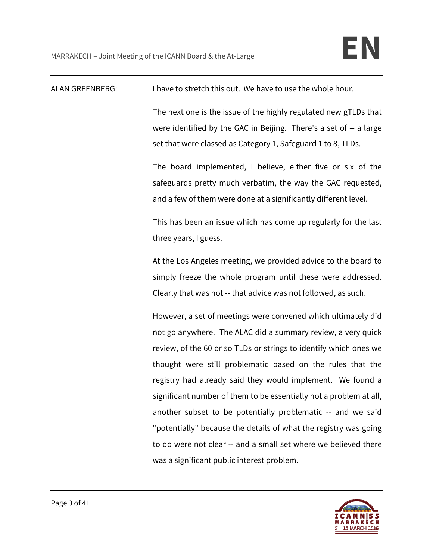| <b>ALAN GREENBERG:</b> | I have to stretch this out. We have to use the whole hour.                                                                                                                                             |
|------------------------|--------------------------------------------------------------------------------------------------------------------------------------------------------------------------------------------------------|
|                        | The next one is the issue of the highly regulated new gTLDs that<br>were identified by the GAC in Beijing. There's a set of -- a large<br>set that were classed as Category 1, Safeguard 1 to 8, TLDs. |
|                        | The board implemented, I believe, either five or six of the<br>safeguards pretty much verbatim, the way the GAC requested,<br>and a few of them were done at a significantly different level.          |
|                        | This has been an issue which has come up regularly for the last<br>three years, I guess.                                                                                                               |
|                        | At the Los Angeles meeting, we provided advice to the board to                                                                                                                                         |
|                        | simply freeze the whole program until these were addressed.                                                                                                                                            |
|                        | Clearly that was not -- that advice was not followed, as such.                                                                                                                                         |
|                        | However, a set of meetings were convened which ultimately did                                                                                                                                          |
|                        | not go anywhere. The ALAC did a summary review, a very quick                                                                                                                                           |
|                        | review, of the 60 or so TLDs or strings to identify which ones we                                                                                                                                      |
|                        | thought were still problematic based on the rules that the                                                                                                                                             |
|                        | registry had already said they would implement. We found a                                                                                                                                             |
|                        | significant number of them to be essentially not a problem at all,                                                                                                                                     |
|                        | another subset to be potentially problematic -- and we said                                                                                                                                            |
|                        | "potentially" because the details of what the registry was going                                                                                                                                       |
|                        | to do were not clear -- and a small set where we believed there                                                                                                                                        |
|                        | was a significant public interest problem.                                                                                                                                                             |

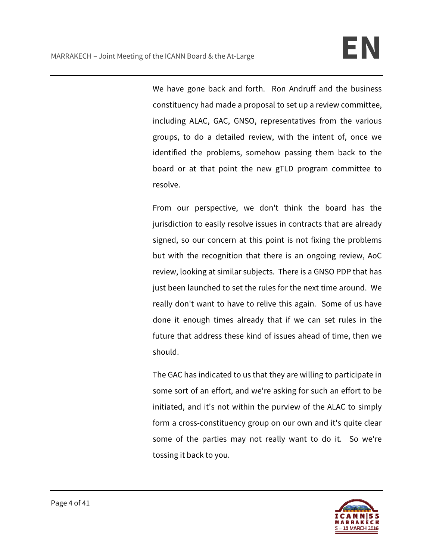We have gone back and forth. Ron Andruff and the business constituency had made a proposal to set up a review committee, including ALAC, GAC, GNSO, representatives from the various groups, to do a detailed review, with the intent of, once we identified the problems, somehow passing them back to the board or at that point the new gTLD program committee to resolve.

From our perspective, we don't think the board has the jurisdiction to easily resolve issues in contracts that are already signed, so our concern at this point is not fixing the problems but with the recognition that there is an ongoing review, AoC review, looking at similar subjects. There is a GNSO PDP that has just been launched to set the rules for the next time around. We really don't want to have to relive this again. Some of us have done it enough times already that if we can set rules in the future that address these kind of issues ahead of time, then we should.

The GAC has indicated to us that they are willing to participate in some sort of an effort, and we're asking for such an effort to be initiated, and it's not within the purview of the ALAC to simply form a cross-constituency group on our own and it's quite clear some of the parties may not really want to do it. So we're tossing it back to you.

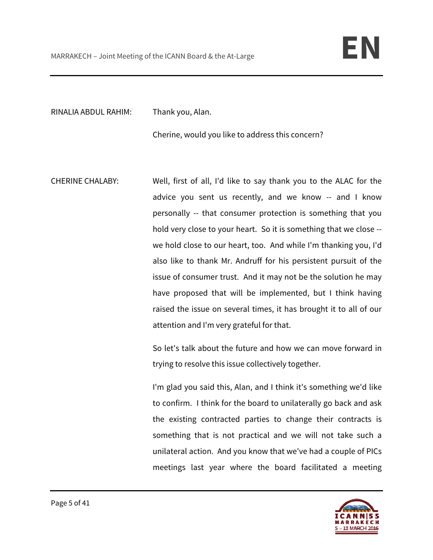RINALIA ABDUL RAHIM: Thank you, Alan.

Cherine, would you like to address this concern?

CHERINE CHALABY: Well, first of all, I'd like to say thank you to the ALAC for the advice you sent us recently, and we know -- and I know personally -- that consumer protection is something that you hold very close to your heart. So it is something that we close - we hold close to our heart, too. And while I'm thanking you, I'd also like to thank Mr. Andruff for his persistent pursuit of the issue of consumer trust. And it may not be the solution he may have proposed that will be implemented, but I think having raised the issue on several times, it has brought it to all of our attention and I'm very grateful for that.

> So let's talk about the future and how we can move forward in trying to resolve this issue collectively together.

> I'm glad you said this, Alan, and I think it's something we'd like to confirm. I think for the board to unilaterally go back and ask the existing contracted parties to change their contracts is something that is not practical and we will not take such a unilateral action. And you know that we've had a couple of PICs meetings last year where the board facilitated a meeting

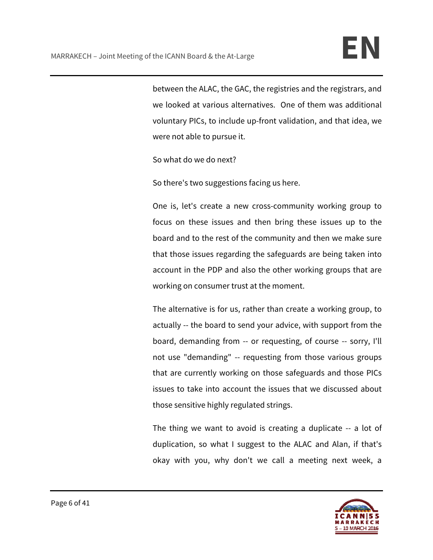between the ALAC, the GAC, the registries and the registrars, and we looked at various alternatives. One of them was additional voluntary PICs, to include up-front validation, and that idea, we were not able to pursue it.

So what do we do next?

So there's two suggestions facing us here.

One is, let's create a new cross-community working group to focus on these issues and then bring these issues up to the board and to the rest of the community and then we make sure that those issues regarding the safeguards are being taken into account in the PDP and also the other working groups that are working on consumer trust at the moment.

The alternative is for us, rather than create a working group, to actually -- the board to send your advice, with support from the board, demanding from -- or requesting, of course -- sorry, I'll not use "demanding" -- requesting from those various groups that are currently working on those safeguards and those PICs issues to take into account the issues that we discussed about those sensitive highly regulated strings.

The thing we want to avoid is creating a duplicate -- a lot of duplication, so what I suggest to the ALAC and Alan, if that's okay with you, why don't we call a meeting next week, a

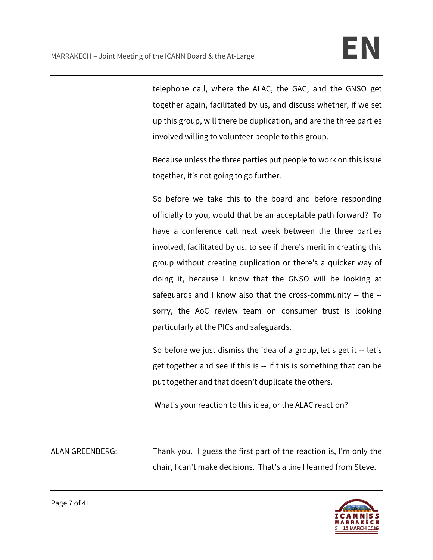telephone call, where the ALAC, the GAC, and the GNSO get together again, facilitated by us, and discuss whether, if we set up this group, will there be duplication, and are the three parties involved willing to volunteer people to this group.

Because unless the three parties put people to work on this issue together, it's not going to go further.

So before we take this to the board and before responding officially to you, would that be an acceptable path forward? To have a conference call next week between the three parties involved, facilitated by us, to see if there's merit in creating this group without creating duplication or there's a quicker way of doing it, because I know that the GNSO will be looking at safeguards and I know also that the cross-community -- the - sorry, the AoC review team on consumer trust is looking particularly at the PICs and safeguards.

So before we just dismiss the idea of a group, let's get it -- let's get together and see if this is -- if this is something that can be put together and that doesn't duplicate the others.

What's your reaction to this idea, or the ALAC reaction?

ALAN GREENBERG: Thank you. I guess the first part of the reaction is, I'm only the chair, I can't make decisions. That's a line I learned from Steve.

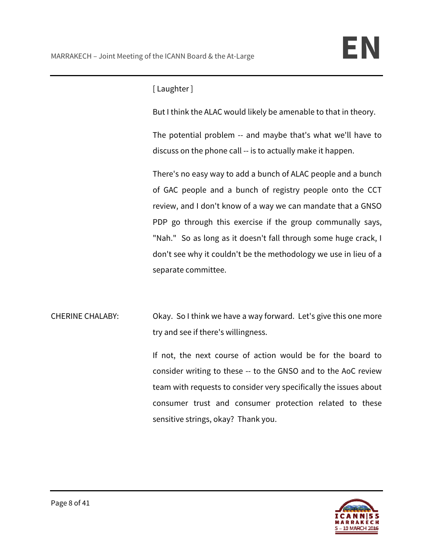# [ Laughter ]

But I think the ALAC would likely be amenable to that in theory.

The potential problem -- and maybe that's what we'll have to discuss on the phone call -- is to actually make it happen.

There's no easy way to add a bunch of ALAC people and a bunch of GAC people and a bunch of registry people onto the CCT review, and I don't know of a way we can mandate that a GNSO PDP go through this exercise if the group communally says, "Nah." So as long as it doesn't fall through some huge crack, I don't see why it couldn't be the methodology we use in lieu of a separate committee.

CHERINE CHALABY: Okay. So I think we have a way forward. Let's give this one more try and see if there's willingness.

> If not, the next course of action would be for the board to consider writing to these -- to the GNSO and to the AoC review team with requests to consider very specifically the issues about consumer trust and consumer protection related to these sensitive strings, okay? Thank you.

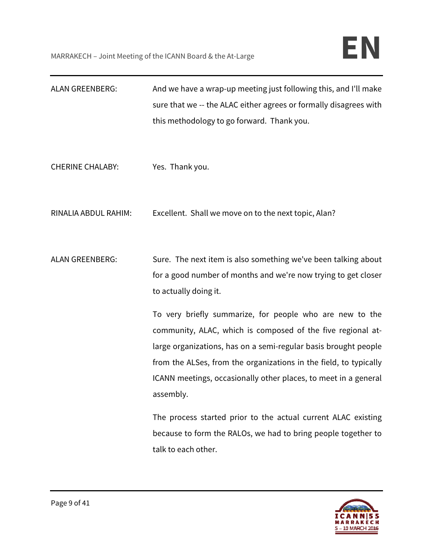| <b>ALAN GREENBERG:</b>  | And we have a wrap-up meeting just following this, and I'll make  |
|-------------------------|-------------------------------------------------------------------|
|                         | sure that we -- the ALAC either agrees or formally disagrees with |
|                         | this methodology to go forward. Thank you.                        |
|                         |                                                                   |
|                         |                                                                   |
| <b>CHERINE CHALABY:</b> | Yes. Thank you.                                                   |
|                         |                                                                   |
|                         |                                                                   |
| RINALIA ABDUL RAHIM:    | Excellent. Shall we move on to the next topic, Alan?              |
|                         |                                                                   |
|                         |                                                                   |
| <b>ALAN GREENBERG:</b>  | Sure. The next item is also something we've been talking about    |
|                         | for a good number of months and we're now trying to get closer    |
|                         | to actually doing it.                                             |
|                         |                                                                   |
|                         | To very briefly summarize, for people who are new to the          |
|                         | community, ALAC, which is composed of the five regional at-       |
|                         | large organizations, has on a semi-regular basis brought people   |
|                         | from the ALSes, from the organizations in the field, to typically |
|                         | ICANN meetings, occasionally other places, to meet in a general   |
|                         | assembly.                                                         |
|                         | The process started prior to the actual current ALAC existing     |
|                         | because to form the RALOs, we had to bring people together to     |
|                         | talk to each other.                                               |
|                         |                                                                   |

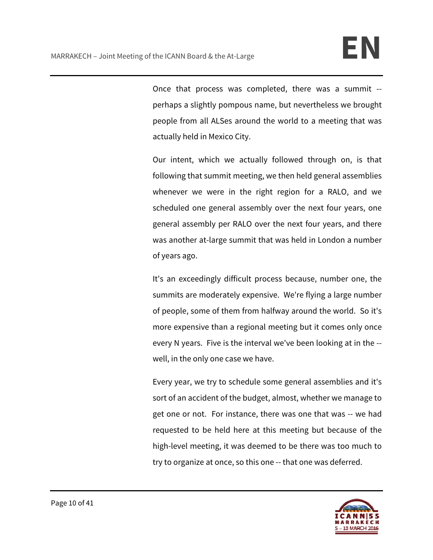Once that process was completed, there was a summit - perhaps a slightly pompous name, but nevertheless we brought people from all ALSes around the world to a meeting that was actually held in Mexico City.

Our intent, which we actually followed through on, is that following that summit meeting, we then held general assemblies whenever we were in the right region for a RALO, and we scheduled one general assembly over the next four years, one general assembly per RALO over the next four years, and there was another at-large summit that was held in London a number of years ago.

It's an exceedingly difficult process because, number one, the summits are moderately expensive. We're flying a large number of people, some of them from halfway around the world. So it's more expensive than a regional meeting but it comes only once every N years. Five is the interval we've been looking at in the - well, in the only one case we have.

Every year, we try to schedule some general assemblies and it's sort of an accident of the budget, almost, whether we manage to get one or not. For instance, there was one that was -- we had requested to be held here at this meeting but because of the high-level meeting, it was deemed to be there was too much to try to organize at once, so this one -- that one was deferred.

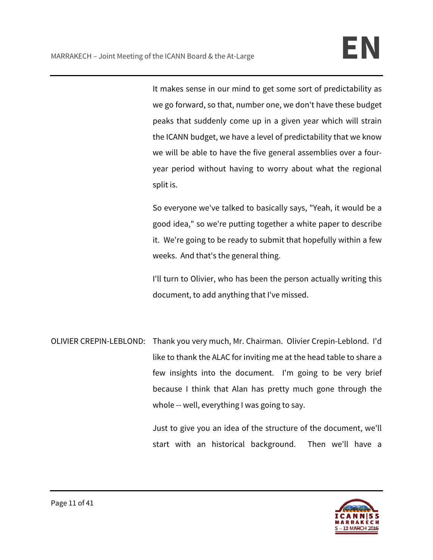It makes sense in our mind to get some sort of predictability as we go forward, so that, number one, we don't have these budget peaks that suddenly come up in a given year which will strain the ICANN budget, we have a level of predictability that we know we will be able to have the five general assemblies over a fouryear period without having to worry about what the regional split is.

So everyone we've talked to basically says, "Yeah, it would be a good idea," so we're putting together a white paper to describe it. We're going to be ready to submit that hopefully within a few weeks. And that's the general thing.

I'll turn to Olivier, who has been the person actually writing this document, to add anything that I've missed.

OLIVIER CREPIN-LEBLOND: Thank you very much, Mr. Chairman. Olivier Crepin-Leblond. I'd like to thank the ALAC for inviting me at the head table to share a few insights into the document. I'm going to be very brief because I think that Alan has pretty much gone through the whole -- well, everything I was going to say.

> Just to give you an idea of the structure of the document, we'll start with an historical background. Then we'll have a

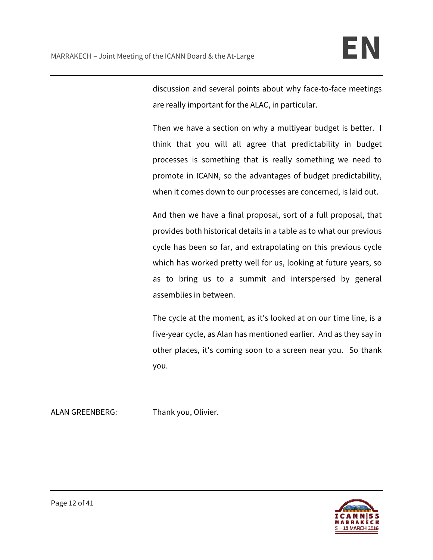discussion and several points about why face-to-face meetings are really important for the ALAC, in particular.

Then we have a section on why a multiyear budget is better. I think that you will all agree that predictability in budget processes is something that is really something we need to promote in ICANN, so the advantages of budget predictability, when it comes down to our processes are concerned, is laid out.

And then we have a final proposal, sort of a full proposal, that provides both historical details in a table as to what our previous cycle has been so far, and extrapolating on this previous cycle which has worked pretty well for us, looking at future years, so as to bring us to a summit and interspersed by general assemblies in between.

The cycle at the moment, as it's looked at on our time line, is a five-year cycle, as Alan has mentioned earlier. And as they say in other places, it's coming soon to a screen near you. So thank you.

ALAN GREENBERG: Thank you, Olivier.

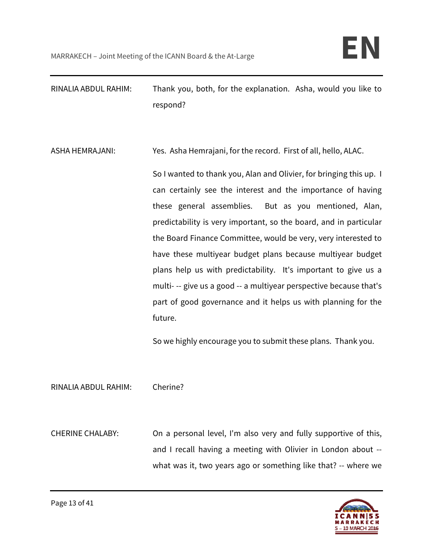RINALIA ABDUL RAHIM: Thank you, both, for the explanation. Asha, would you like to respond?

ASHA HEMRAJANI: Yes. Asha Hemrajani, for the record. First of all, hello, ALAC.

So I wanted to thank you, Alan and Olivier, for bringing this up. I can certainly see the interest and the importance of having these general assemblies. But as you mentioned, Alan, predictability is very important, so the board, and in particular the Board Finance Committee, would be very, very interested to have these multiyear budget plans because multiyear budget plans help us with predictability. It's important to give us a multi- -- give us a good -- a multiyear perspective because that's part of good governance and it helps us with planning for the future.

So we highly encourage you to submit these plans. Thank you.

RINALIA ABDUL RAHIM: Cherine?

CHERINE CHALABY: On a personal level, I'm also very and fully supportive of this, and I recall having a meeting with Olivier in London about - what was it, two years ago or something like that? -- where we

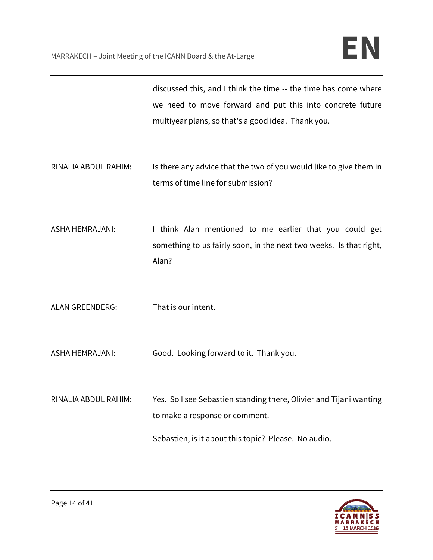discussed this, and I think the time -- the time has come where we need to move forward and put this into concrete future multiyear plans, so that's a good idea. Thank you.

- RINALIA ABDUL RAHIM: Is there any advice that the two of you would like to give them in terms of time line for submission?
- ASHA HEMRAJANI: I think Alan mentioned to me earlier that you could get something to us fairly soon, in the next two weeks. Is that right, Alan?
- ALAN GREENBERG: That is our intent.
- ASHA HEMRAJANI: Good. Looking forward to it. Thank you.
- RINALIA ABDUL RAHIM: Yes. So I see Sebastien standing there, Olivier and Tijani wanting to make a response or comment.

Sebastien, is it about this topic? Please. No audio.

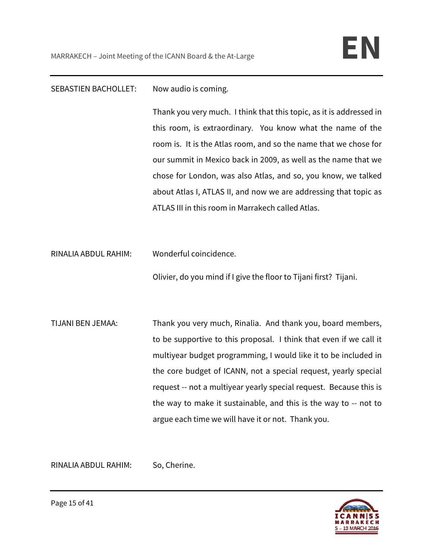### SEBASTIEN BACHOLLET: Now audio is coming.

Thank you very much. I think that this topic, as it is addressed in this room, is extraordinary. You know what the name of the room is. It is the Atlas room, and so the name that we chose for our summit in Mexico back in 2009, as well as the name that we chose for London, was also Atlas, and so, you know, we talked about Atlas I, ATLAS II, and now we are addressing that topic as ATLAS III in this room in Marrakech called Atlas.

RINALIA ABDUL RAHIM: Wonderful coincidence.

Olivier, do you mind if I give the floor to Tijani first? Tijani.

TIJANI BEN JEMAA: Thank you very much, Rinalia. And thank you, board members, to be supportive to this proposal. I think that even if we call it multiyear budget programming, I would like it to be included in the core budget of ICANN, not a special request, yearly special request -- not a multiyear yearly special request. Because this is the way to make it sustainable, and this is the way to -- not to argue each time we will have it or not. Thank you.

RINALIA ABDUL RAHIM: So, Cherine.

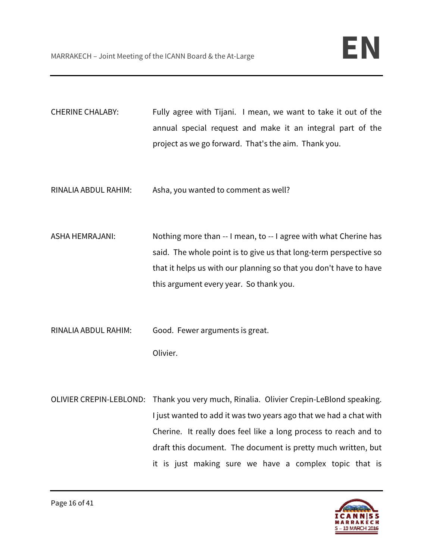CHERINE CHALABY: Fully agree with Tijani. I mean, we want to take it out of the annual special request and make it an integral part of the project as we go forward. That's the aim. Thank you.

RINALIA ABDUL RAHIM: Asha, you wanted to comment as well?

ASHA HEMRAJANI: Nothing more than -- I mean, to -- I agree with what Cherine has said. The whole point is to give us that long-term perspective so that it helps us with our planning so that you don't have to have this argument every year. So thank you.

RINALIA ABDUL RAHIM: Good. Fewer arguments is great. Olivier.

OLIVIER CREPIN-LEBLOND: Thank you very much, Rinalia. Olivier Crepin-LeBlond speaking. I just wanted to add it was two years ago that we had a chat with Cherine. It really does feel like a long process to reach and to draft this document. The document is pretty much written, but it is just making sure we have a complex topic that is

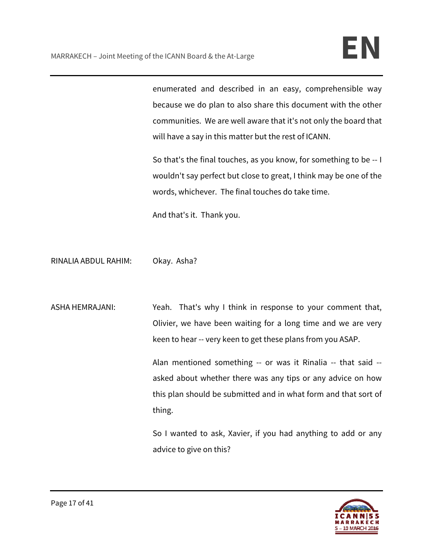enumerated and described in an easy, comprehensible way because we do plan to also share this document with the other communities. We are well aware that it's not only the board that will have a say in this matter but the rest of ICANN.

So that's the final touches, as you know, for something to be -- I wouldn't say perfect but close to great, I think may be one of the words, whichever. The final touches do take time.

And that's it. Thank you.

RINALIA ABDUL RAHIM: Okay. Asha?

ASHA HEMRAJANI: Yeah. That's why I think in response to your comment that, Olivier, we have been waiting for a long time and we are very keen to hear -- very keen to get these plans from you ASAP.

> Alan mentioned something -- or was it Rinalia -- that said - asked about whether there was any tips or any advice on how this plan should be submitted and in what form and that sort of thing.

> So I wanted to ask, Xavier, if you had anything to add or any advice to give on this?

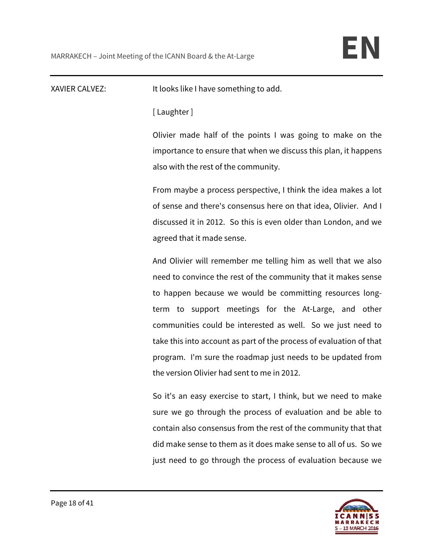XAVIER CALVEZ: It looks like I have something to add.

[ Laughter ]

Olivier made half of the points I was going to make on the importance to ensure that when we discuss this plan, it happens also with the rest of the community.

From maybe a process perspective, I think the idea makes a lot of sense and there's consensus here on that idea, Olivier. And I discussed it in 2012. So this is even older than London, and we agreed that it made sense.

And Olivier will remember me telling him as well that we also need to convince the rest of the community that it makes sense to happen because we would be committing resources longterm to support meetings for the At-Large, and other communities could be interested as well. So we just need to take this into account as part of the process of evaluation of that program. I'm sure the roadmap just needs to be updated from the version Olivier had sent to me in 2012.

So it's an easy exercise to start, I think, but we need to make sure we go through the process of evaluation and be able to contain also consensus from the rest of the community that that did make sense to them as it does make sense to all of us. So we just need to go through the process of evaluation because we

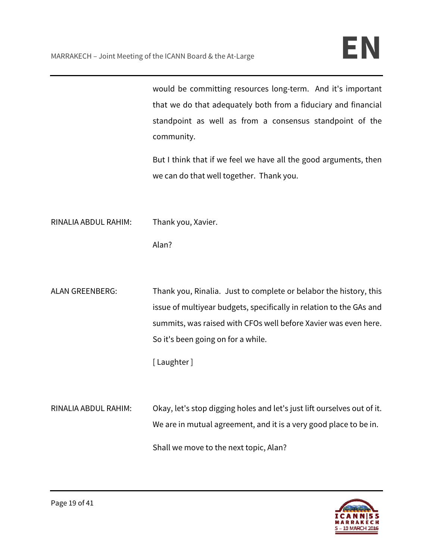|                      | would be committing resources long-term. And it's important<br>that we do that adequately both from a fiduciary and financial<br>standpoint as well as from a consensus standpoint of the<br>community.<br>But I think that if we feel we have all the good arguments, then<br>we can do that well together. Thank you. |
|----------------------|-------------------------------------------------------------------------------------------------------------------------------------------------------------------------------------------------------------------------------------------------------------------------------------------------------------------------|
| RINALIA ABDUL RAHIM: | Thank you, Xavier.<br>Alan?                                                                                                                                                                                                                                                                                             |
| ALAN GREENBERG:      | Thank you, Rinalia. Just to complete or belabor the history, this<br>issue of multiyear budgets, specifically in relation to the GAs and<br>summits, was raised with CFOs well before Xavier was even here.<br>So it's been going on for a while.<br>[Laughter]                                                         |
| RINALIA ABDUL RAHIM: | Okay, let's stop digging holes and let's just lift ourselves out of it.<br>We are in mutual agreement, and it is a very good place to be in.<br>Shall we move to the next topic, Alan?                                                                                                                                  |

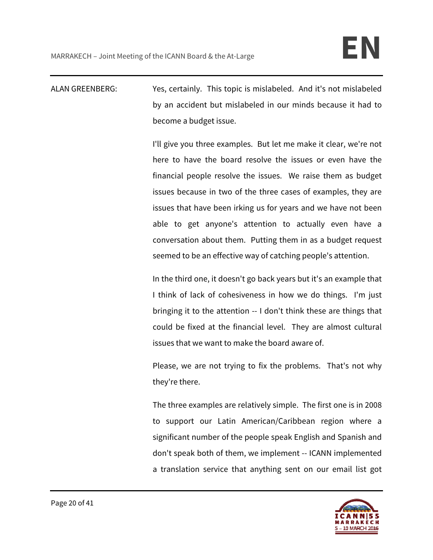ALAN GREENBERG: Yes, certainly. This topic is mislabeled. And it's not mislabeled by an accident but mislabeled in our minds because it had to become a budget issue.

> I'll give you three examples. But let me make it clear, we're not here to have the board resolve the issues or even have the financial people resolve the issues. We raise them as budget issues because in two of the three cases of examples, they are issues that have been irking us for years and we have not been able to get anyone's attention to actually even have a conversation about them. Putting them in as a budget request seemed to be an effective way of catching people's attention.

> In the third one, it doesn't go back years but it's an example that I think of lack of cohesiveness in how we do things. I'm just bringing it to the attention -- I don't think these are things that could be fixed at the financial level. They are almost cultural issues that we want to make the board aware of.

> Please, we are not trying to fix the problems. That's not why they're there.

> The three examples are relatively simple. The first one is in 2008 to support our Latin American/Caribbean region where a significant number of the people speak English and Spanish and don't speak both of them, we implement -- ICANN implemented a translation service that anything sent on our email list got

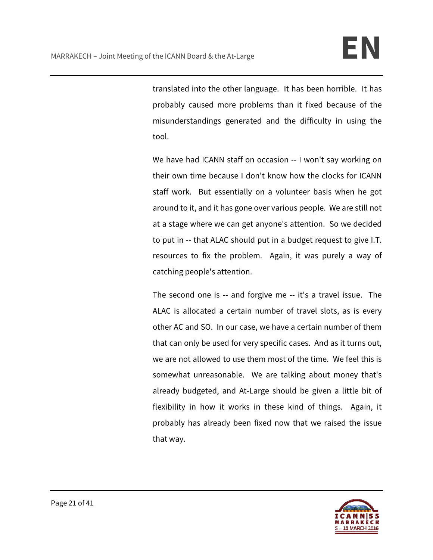translated into the other language. It has been horrible. It has probably caused more problems than it fixed because of the misunderstandings generated and the difficulty in using the tool.

We have had ICANN staff on occasion -- I won't say working on their own time because I don't know how the clocks for ICANN staff work. But essentially on a volunteer basis when he got around to it, and it has gone over various people. We are still not at a stage where we can get anyone's attention. So we decided to put in -- that ALAC should put in a budget request to give I.T. resources to fix the problem. Again, it was purely a way of catching people's attention.

The second one is -- and forgive me -- it's a travel issue. The ALAC is allocated a certain number of travel slots, as is every other AC and SO. In our case, we have a certain number of them that can only be used for very specific cases. And as it turns out, we are not allowed to use them most of the time. We feel this is somewhat unreasonable. We are talking about money that's already budgeted, and At-Large should be given a little bit of flexibility in how it works in these kind of things. Again, it probably has already been fixed now that we raised the issue that way.

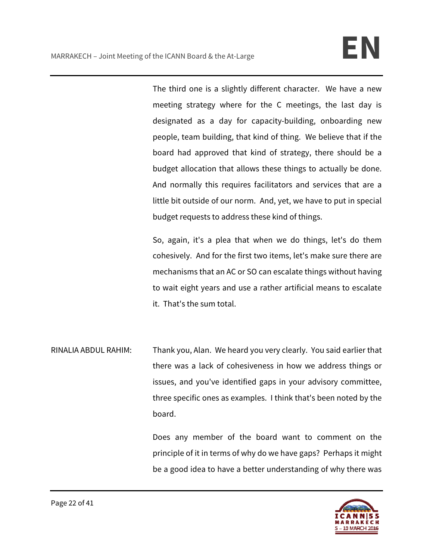The third one is a slightly different character. We have a new meeting strategy where for the C meetings, the last day is designated as a day for capacity-building, onboarding new people, team building, that kind of thing. We believe that if the board had approved that kind of strategy, there should be a budget allocation that allows these things to actually be done. And normally this requires facilitators and services that are a little bit outside of our norm. And, yet, we have to put in special budget requests to address these kind of things.

So, again, it's a plea that when we do things, let's do them cohesively. And for the first two items, let's make sure there are mechanisms that an AC or SO can escalate things without having to wait eight years and use a rather artificial means to escalate it. That's the sum total.

RINALIA ABDUL RAHIM: Thank you, Alan. We heard you very clearly. You said earlier that there was a lack of cohesiveness in how we address things or issues, and you've identified gaps in your advisory committee, three specific ones as examples. I think that's been noted by the board.

> Does any member of the board want to comment on the principle of it in terms of why do we have gaps? Perhaps it might be a good idea to have a better understanding of why there was

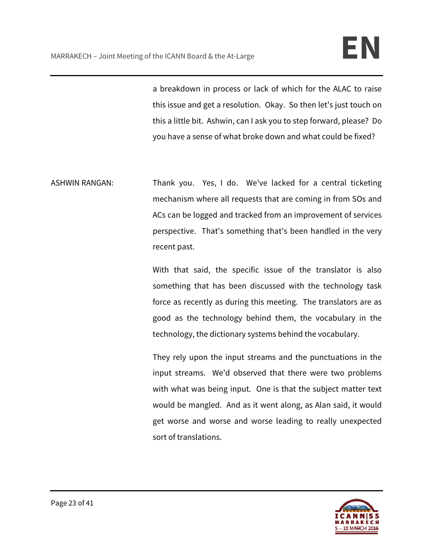a breakdown in process or lack of which for the ALAC to raise this issue and get a resolution. Okay. So then let's just touch on this a little bit. Ashwin, can I ask you to step forward, please? Do you have a sense of what broke down and what could be fixed?

ASHWIN RANGAN: Thank you. Yes, I do. We've lacked for a central ticketing mechanism where all requests that are coming in from SOs and ACs can be logged and tracked from an improvement of services perspective. That's something that's been handled in the very recent past.

> With that said, the specific issue of the translator is also something that has been discussed with the technology task force as recently as during this meeting. The translators are as good as the technology behind them, the vocabulary in the technology, the dictionary systems behind the vocabulary.

> They rely upon the input streams and the punctuations in the input streams. We'd observed that there were two problems with what was being input. One is that the subject matter text would be mangled. And as it went along, as Alan said, it would get worse and worse and worse leading to really unexpected sort of translations.

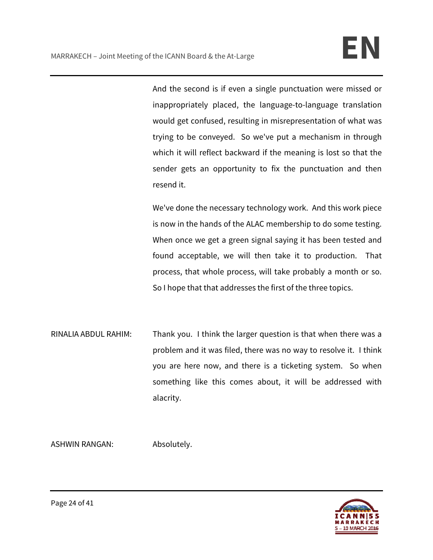And the second is if even a single punctuation were missed or inappropriately placed, the language-to-language translation would get confused, resulting in misrepresentation of what was trying to be conveyed. So we've put a mechanism in through which it will reflect backward if the meaning is lost so that the sender gets an opportunity to fix the punctuation and then resend it.

We've done the necessary technology work. And this work piece is now in the hands of the ALAC membership to do some testing. When once we get a green signal saying it has been tested and found acceptable, we will then take it to production. That process, that whole process, will take probably a month or so. So I hope that that addresses the first of the three topics.

RINALIA ABDUL RAHIM: Thank you. I think the larger question is that when there was a problem and it was filed, there was no way to resolve it. I think you are here now, and there is a ticketing system. So when something like this comes about, it will be addressed with alacrity.

ASHWIN RANGAN: Absolutely.

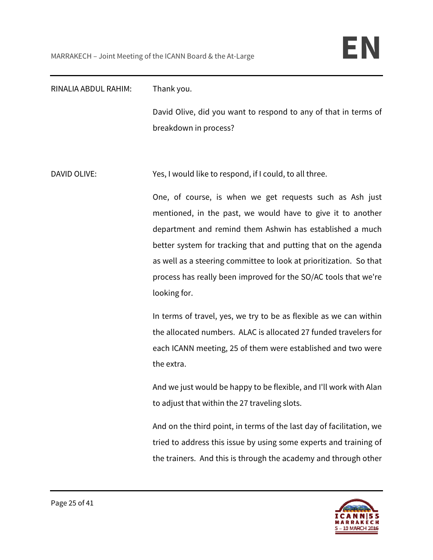| RINALIA ABDUL RAHIM: | Thank you.                                                                                                                                                                                                                                                                                                                                                                                                     |
|----------------------|----------------------------------------------------------------------------------------------------------------------------------------------------------------------------------------------------------------------------------------------------------------------------------------------------------------------------------------------------------------------------------------------------------------|
|                      | David Olive, did you want to respond to any of that in terms of<br>breakdown in process?                                                                                                                                                                                                                                                                                                                       |
| <b>DAVID OLIVE:</b>  | Yes, I would like to respond, if I could, to all three.                                                                                                                                                                                                                                                                                                                                                        |
|                      | One, of course, is when we get requests such as Ash just<br>mentioned, in the past, we would have to give it to another<br>department and remind them Ashwin has established a much<br>better system for tracking that and putting that on the agenda<br>as well as a steering committee to look at prioritization. So that<br>process has really been improved for the SO/AC tools that we're<br>looking for. |
|                      | In terms of travel, yes, we try to be as flexible as we can within<br>the allocated numbers. ALAC is allocated 27 funded travelers for<br>each ICANN meeting, 25 of them were established and two were<br>the extra.                                                                                                                                                                                           |
|                      | And we just would be happy to be flexible, and I'll work with Alan<br>to adjust that within the 27 traveling slots.                                                                                                                                                                                                                                                                                            |
|                      | And on the third point, in terms of the last day of facilitation, we<br>tried to address this issue by using some experts and training of<br>the trainers. And this is through the academy and through other                                                                                                                                                                                                   |

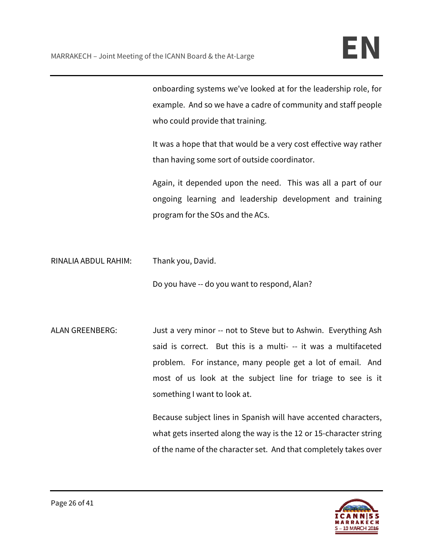onboarding systems we've looked at for the leadership role, for example. And so we have a cadre of community and staff people who could provide that training.

It was a hope that that would be a very cost effective way rather than having some sort of outside coordinator.

Again, it depended upon the need. This was all a part of our ongoing learning and leadership development and training program for the SOs and the ACs.

RINALIA ABDUL RAHIM: Thank you, David.

Do you have -- do you want to respond, Alan?

ALAN GREENBERG: Just a very minor -- not to Steve but to Ashwin. Everything Ash said is correct. But this is a multi- -- it was a multifaceted problem. For instance, many people get a lot of email. And most of us look at the subject line for triage to see is it something I want to look at.

> Because subject lines in Spanish will have accented characters, what gets inserted along the way is the 12 or 15-character string of the name of the character set. And that completely takes over

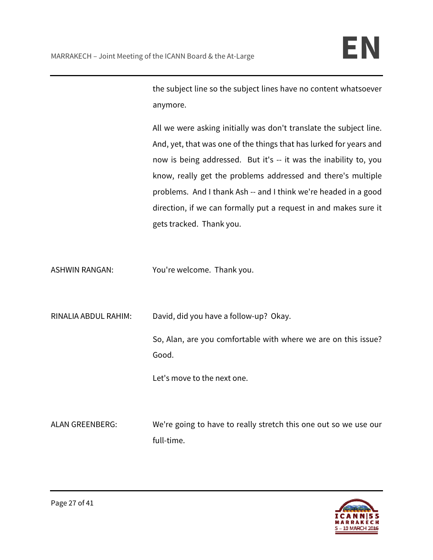the subject line so the subject lines have no content whatsoever anymore.

All we were asking initially was don't translate the subject line. And, yet, that was one of the things that has lurked for years and now is being addressed. But it's -- it was the inability to, you know, really get the problems addressed and there's multiple problems. And I thank Ash -- and I think we're headed in a good direction, if we can formally put a request in and makes sure it gets tracked. Thank you.

ASHWIN RANGAN: You're welcome. Thank you.

RINALIA ABDUL RAHIM: David, did you have a follow-up? Okay.

So, Alan, are you comfortable with where we are on this issue? Good.

Let's move to the next one.

ALAN GREENBERG: We're going to have to really stretch this one out so we use our full-time.

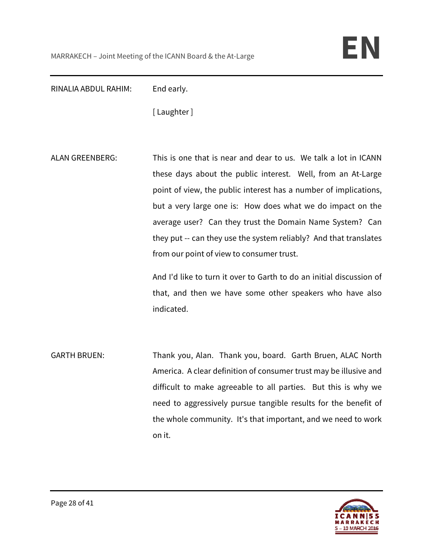RINALIA ABDUL RAHIM: End early.

[ Laughter ]

ALAN GREENBERG: This is one that is near and dear to us. We talk a lot in ICANN these days about the public interest. Well, from an At-Large point of view, the public interest has a number of implications, but a very large one is: How does what we do impact on the average user? Can they trust the Domain Name System? Can they put -- can they use the system reliably? And that translates from our point of view to consumer trust.

> And I'd like to turn it over to Garth to do an initial discussion of that, and then we have some other speakers who have also indicated.

GARTH BRUEN: Thank you, Alan. Thank you, board. Garth Bruen, ALAC North America. A clear definition of consumer trust may be illusive and difficult to make agreeable to all parties. But this is why we need to aggressively pursue tangible results for the benefit of the whole community. It's that important, and we need to work on it.

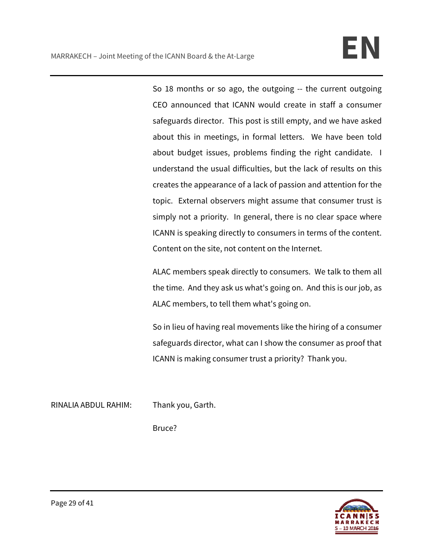So 18 months or so ago, the outgoing -- the current outgoing CEO announced that ICANN would create in staff a consumer safeguards director. This post is still empty, and we have asked about this in meetings, in formal letters. We have been told about budget issues, problems finding the right candidate. I understand the usual difficulties, but the lack of results on this creates the appearance of a lack of passion and attention for the topic. External observers might assume that consumer trust is simply not a priority. In general, there is no clear space where ICANN is speaking directly to consumers in terms of the content. Content on the site, not content on the Internet.

ALAC members speak directly to consumers. We talk to them all the time. And they ask us what's going on. And this is our job, as ALAC members, to tell them what's going on.

So in lieu of having real movements like the hiring of a consumer safeguards director, what can I show the consumer as proof that ICANN is making consumer trust a priority? Thank you.

RINALIA ABDUL RAHIM: Thank you, Garth.

Bruce?

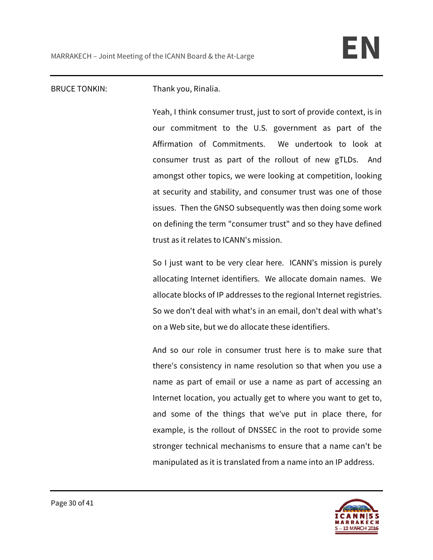## BRUCE TONKIN: Thank you, Rinalia.

Yeah, I think consumer trust, just to sort of provide context, is in our commitment to the U.S. government as part of the Affirmation of Commitments. We undertook to look at consumer trust as part of the rollout of new gTLDs. And amongst other topics, we were looking at competition, looking at security and stability, and consumer trust was one of those issues. Then the GNSO subsequently was then doing some work on defining the term "consumer trust" and so they have defined trust as it relates to ICANN's mission.

So I just want to be very clear here. ICANN's mission is purely allocating Internet identifiers. We allocate domain names. We allocate blocks of IP addresses to the regional Internet registries. So we don't deal with what's in an email, don't deal with what's on a Web site, but we do allocate these identifiers.

And so our role in consumer trust here is to make sure that there's consistency in name resolution so that when you use a name as part of email or use a name as part of accessing an Internet location, you actually get to where you want to get to, and some of the things that we've put in place there, for example, is the rollout of DNSSEC in the root to provide some stronger technical mechanisms to ensure that a name can't be manipulated as it is translated from a name into an IP address.

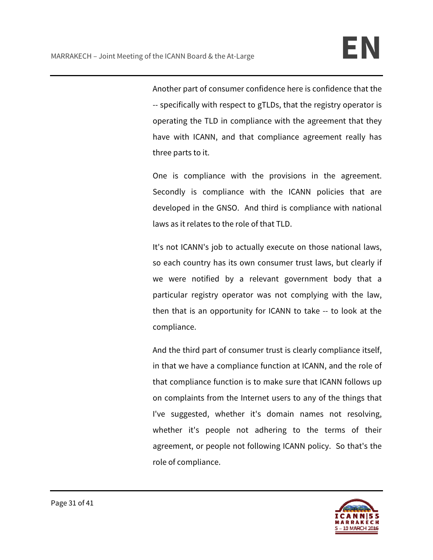Another part of consumer confidence here is confidence that the -- specifically with respect to gTLDs, that the registry operator is operating the TLD in compliance with the agreement that they have with ICANN, and that compliance agreement really has three parts to it.

One is compliance with the provisions in the agreement. Secondly is compliance with the ICANN policies that are developed in the GNSO. And third is compliance with national laws as it relates to the role of that TLD.

It's not ICANN's job to actually execute on those national laws, so each country has its own consumer trust laws, but clearly if we were notified by a relevant government body that a particular registry operator was not complying with the law, then that is an opportunity for ICANN to take -- to look at the compliance.

And the third part of consumer trust is clearly compliance itself, in that we have a compliance function at ICANN, and the role of that compliance function is to make sure that ICANN follows up on complaints from the Internet users to any of the things that I've suggested, whether it's domain names not resolving, whether it's people not adhering to the terms of their agreement, or people not following ICANN policy. So that's the role of compliance.

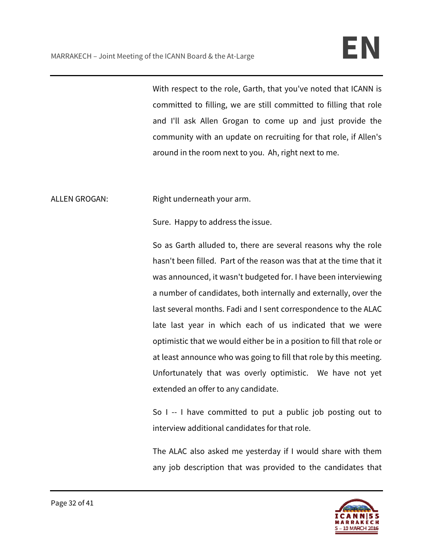With respect to the role, Garth, that you've noted that ICANN is committed to filling, we are still committed to filling that role and I'll ask Allen Grogan to come up and just provide the community with an update on recruiting for that role, if Allen's around in the room next to you. Ah, right next to me.

ALLEN GROGAN: Right underneath your arm.

Sure. Happy to address the issue.

So as Garth alluded to, there are several reasons why the role hasn't been filled. Part of the reason was that at the time that it was announced, it wasn't budgeted for. I have been interviewing a number of candidates, both internally and externally, over the last several months. Fadi and I sent correspondence to the ALAC late last year in which each of us indicated that we were optimistic that we would either be in a position to fill that role or at least announce who was going to fill that role by this meeting. Unfortunately that was overly optimistic. We have not yet extended an offer to any candidate.

So I -- I have committed to put a public job posting out to interview additional candidates for that role.

The ALAC also asked me yesterday if I would share with them any job description that was provided to the candidates that

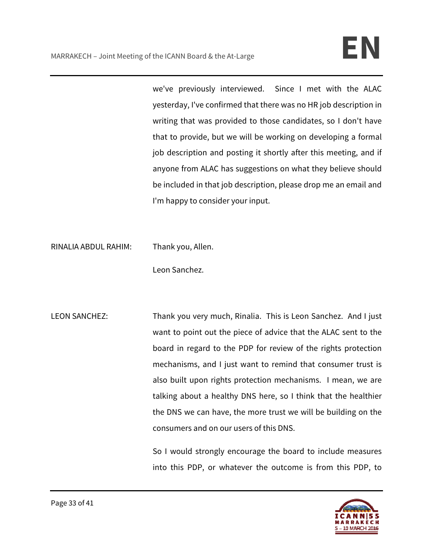we've previously interviewed. Since I met with the ALAC yesterday, I've confirmed that there was no HR job description in writing that was provided to those candidates, so I don't have that to provide, but we will be working on developing a formal job description and posting it shortly after this meeting, and if anyone from ALAC has suggestions on what they believe should be included in that job description, please drop me an email and I'm happy to consider your input.

RINALIA ABDUL RAHIM: Thank you, Allen.

Leon Sanchez.

LEON SANCHEZ: Thank you very much, Rinalia. This is Leon Sanchez. And I just want to point out the piece of advice that the ALAC sent to the board in regard to the PDP for review of the rights protection mechanisms, and I just want to remind that consumer trust is also built upon rights protection mechanisms. I mean, we are talking about a healthy DNS here, so I think that the healthier the DNS we can have, the more trust we will be building on the consumers and on our users of this DNS.

> So I would strongly encourage the board to include measures into this PDP, or whatever the outcome is from this PDP, to

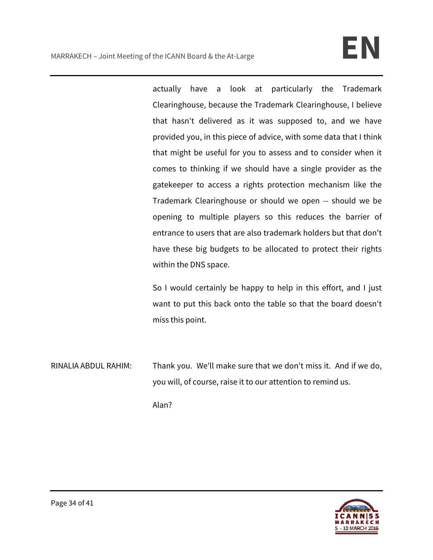actually have a look at particularly the Trademark Clearinghouse, because the Trademark Clearinghouse, I believe that hasn't delivered as it was supposed to, and we have provided you, in this piece of advice, with some data that I think that might be useful for you to assess and to consider when it comes to thinking if we should have a single provider as the gatekeeper to access a rights protection mechanism like the Trademark Clearinghouse or should we open -- should we be opening to multiple players so this reduces the barrier of entrance to users that are also trademark holders but that don't have these big budgets to be allocated to protect their rights within the DNS space.

So I would certainly be happy to help in this effort, and I just want to put this back onto the table so that the board doesn't miss this point.

RINALIA ABDUL RAHIM: Thank you. We'll make sure that we don't miss it. And if we do, you will, of course, raise it to our attention to remind us.

Alan?

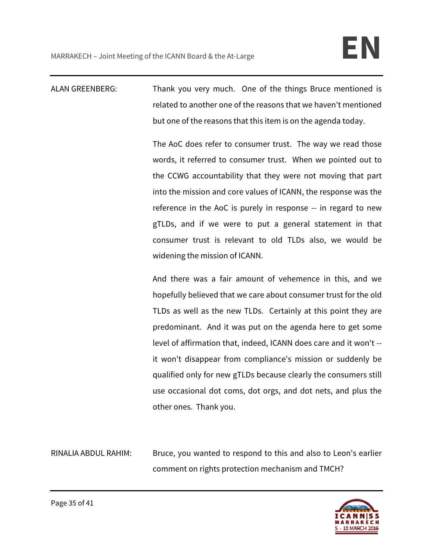ALAN GREENBERG: Thank you very much. One of the things Bruce mentioned is related to another one of the reasons that we haven't mentioned but one of the reasons that this item is on the agenda today.

> The AoC does refer to consumer trust. The way we read those words, it referred to consumer trust. When we pointed out to the CCWG accountability that they were not moving that part into the mission and core values of ICANN, the response was the reference in the AoC is purely in response -- in regard to new gTLDs, and if we were to put a general statement in that consumer trust is relevant to old TLDs also, we would be widening the mission of ICANN.

> And there was a fair amount of vehemence in this, and we hopefully believed that we care about consumer trust for the old TLDs as well as the new TLDs. Certainly at this point they are predominant. And it was put on the agenda here to get some level of affirmation that, indeed, ICANN does care and it won't - it won't disappear from compliance's mission or suddenly be qualified only for new gTLDs because clearly the consumers still use occasional dot coms, dot orgs, and dot nets, and plus the other ones. Thank you.

RINALIA ABDUL RAHIM: Bruce, you wanted to respond to this and also to Leon's earlier comment on rights protection mechanism and TMCH?

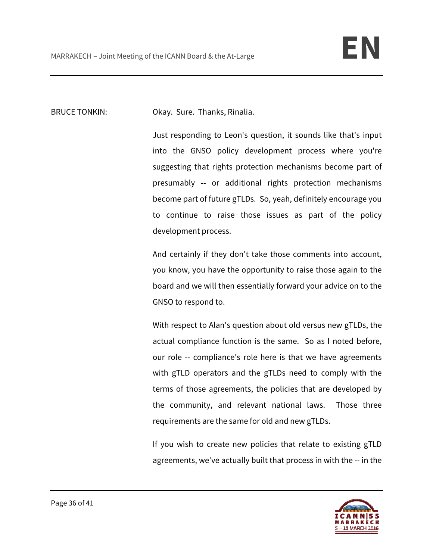BRUCE TONKIN: Okay. Sure. Thanks, Rinalia.

Just responding to Leon's question, it sounds like that's input into the GNSO policy development process where you're suggesting that rights protection mechanisms become part of presumably -- or additional rights protection mechanisms become part of future gTLDs. So, yeah, definitely encourage you to continue to raise those issues as part of the policy development process.

And certainly if they don't take those comments into account, you know, you have the opportunity to raise those again to the board and we will then essentially forward your advice on to the GNSO to respond to.

With respect to Alan's question about old versus new gTLDs, the actual compliance function is the same. So as I noted before, our role -- compliance's role here is that we have agreements with gTLD operators and the gTLDs need to comply with the terms of those agreements, the policies that are developed by the community, and relevant national laws. Those three requirements are the same for old and new gTLDs.

If you wish to create new policies that relate to existing gTLD agreements, we've actually built that process in with the -- in the

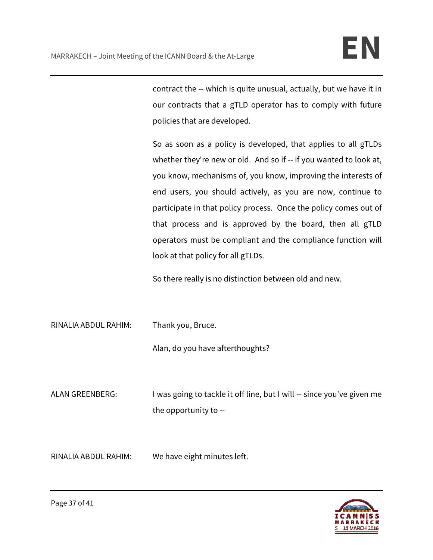contract the -- which is quite unusual, actually, but we have it in our contracts that a gTLD operator has to comply with future policies that are developed.

So as soon as a policy is developed, that applies to all gTLDs whether they're new or old. And so if -- if you wanted to look at, you know, mechanisms of, you know, improving the interests of end users, you should actively, as you are now, continue to participate in that policy process. Once the policy comes out of that process and is approved by the board, then all gTLD operators must be compliant and the compliance function will look at that policy for all gTLDs.

So there really is no distinction between old and new.

RINALIA ABDUL RAHIM: Thank you, Bruce.

Alan, do you have afterthoughts?

ALAN GREENBERG: I was going to tackle it off line, but I will -- since you've given me the opportunity to --

RINALIA ABDUL RAHIM: We have eight minutes left.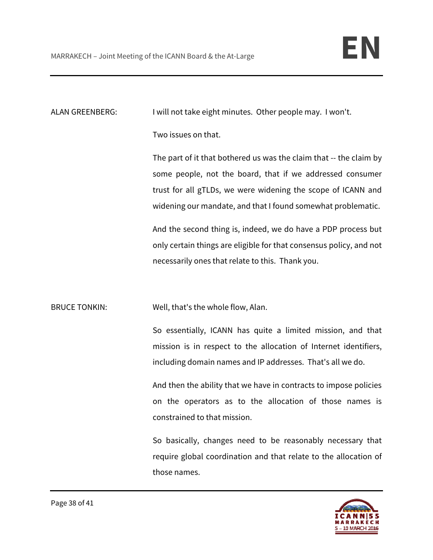ALAN GREENBERG: I will not take eight minutes. Other people may. I won't.

Two issues on that.

The part of it that bothered us was the claim that -- the claim by some people, not the board, that if we addressed consumer trust for all gTLDs, we were widening the scope of ICANN and widening our mandate, and that I found somewhat problematic.

And the second thing is, indeed, we do have a PDP process but only certain things are eligible for that consensus policy, and not necessarily ones that relate to this. Thank you.

BRUCE TONKIN: Well, that's the whole flow, Alan.

So essentially, ICANN has quite a limited mission, and that mission is in respect to the allocation of Internet identifiers, including domain names and IP addresses. That's all we do.

And then the ability that we have in contracts to impose policies on the operators as to the allocation of those names is constrained to that mission.

So basically, changes need to be reasonably necessary that require global coordination and that relate to the allocation of those names.

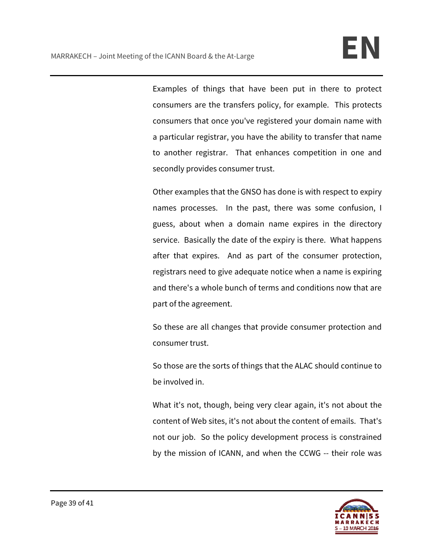Examples of things that have been put in there to protect consumers are the transfers policy, for example. This protects consumers that once you've registered your domain name with a particular registrar, you have the ability to transfer that name to another registrar. That enhances competition in one and secondly provides consumer trust.

Other examples that the GNSO has done is with respect to expiry names processes. In the past, there was some confusion, I guess, about when a domain name expires in the directory service. Basically the date of the expiry is there. What happens after that expires. And as part of the consumer protection, registrars need to give adequate notice when a name is expiring and there's a whole bunch of terms and conditions now that are part of the agreement.

So these are all changes that provide consumer protection and consumer trust.

So those are the sorts of things that the ALAC should continue to be involved in.

What it's not, though, being very clear again, it's not about the content of Web sites, it's not about the content of emails. That's not our job. So the policy development process is constrained by the mission of ICANN, and when the CCWG -- their role was

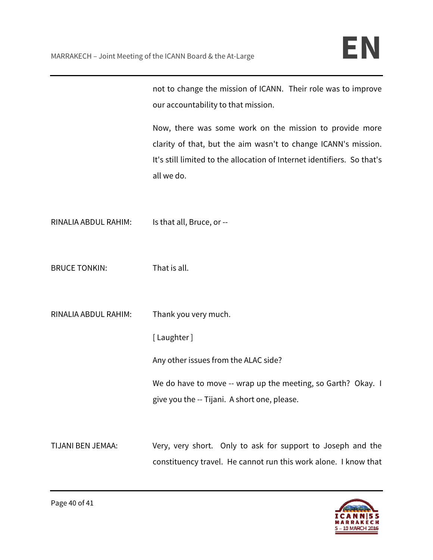not to change the mission of ICANN. Their role was to improve our accountability to that mission.

Now, there was some work on the mission to provide more clarity of that, but the aim wasn't to change ICANN's mission. It's still limited to the allocation of Internet identifiers. So that's all we do.

RINALIA ABDUL RAHIM: Is that all, Bruce, or --

BRUCE TONKIN: That is all.

RINALIA ABDUL RAHIM: Thank you very much.

[ Laughter ]

Any other issues from the ALAC side?

We do have to move -- wrap up the meeting, so Garth? Okay. I give you the -- Tijani. A short one, please.

TIJANI BEN JEMAA: Very, very short. Only to ask for support to Joseph and the constituency travel. He cannot run this work alone. I know that